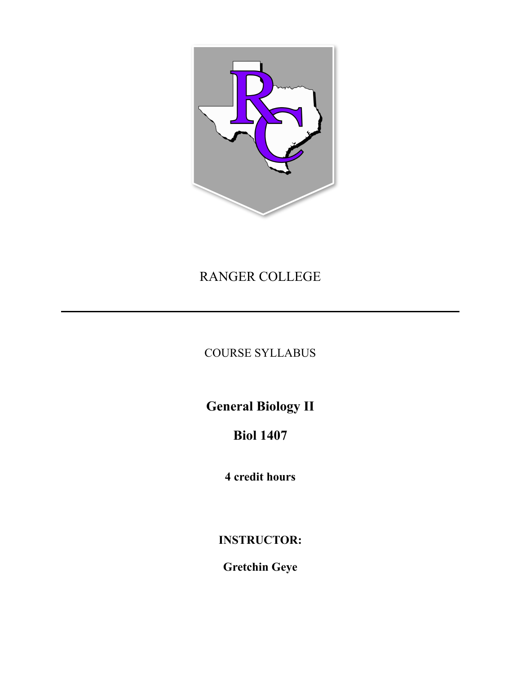

# RANGER COLLEGE

## COURSE SYLLABUS

**General Biology II** 

# **Biol 1407**

**4 credit hours** 

**INSTRUCTOR:** 

**Gretchin Geye**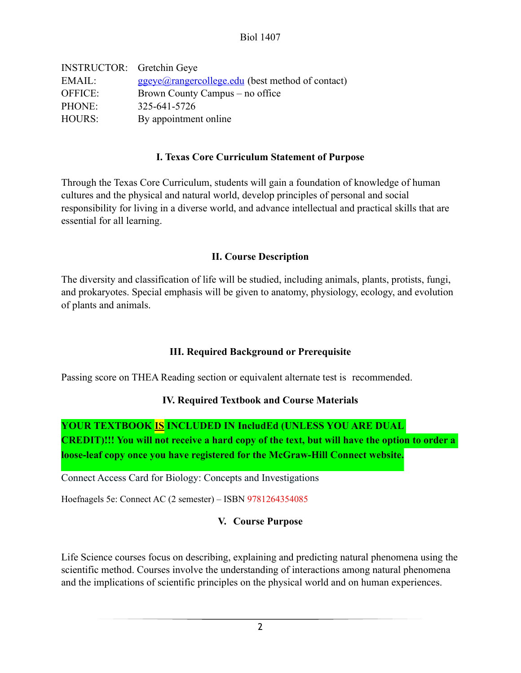Biol 1407

| <b>INSTRUCTOR:</b> Gretchin Geye |                                                            |
|----------------------------------|------------------------------------------------------------|
| EMAIL:                           | $ggeye(\omega rangereollege.edu)$ (best method of contact) |
| <b>OFFICE:</b>                   | Brown County Campus – no office                            |
| PHONE:                           | 325-641-5726                                               |
| <b>HOURS:</b>                    | By appointment online                                      |

### **I. Texas Core Curriculum Statement of Purpose**

Through the Texas Core Curriculum, students will gain a foundation of knowledge of human cultures and the physical and natural world, develop principles of personal and social responsibility for living in a diverse world, and advance intellectual and practical skills that are essential for all learning.

### **II. Course Description**

The diversity and classification of life will be studied, including animals, plants, protists, fungi, and prokaryotes. Special emphasis will be given to anatomy, physiology, ecology, and evolution of plants and animals.

## **III. Required Background or Prerequisite**

Passing score on THEA Reading section or equivalent alternate test is recommended.

#### **IV. Required Textbook and Course Materials**

**YOUR TEXTBOOK IS INCLUDED IN IncludEd (UNLESS YOU ARE DUAL CREDIT)!!! You will not receive a hard copy of the text, but will have the option to order a loose-leaf copy once you have registered for the McGraw-Hill Connect website.**

Connect Access Card for Biology: Concepts and Investigations

Hoefnagels 5e: Connect AC (2 semester) – ISBN 9781264354085

## **V. Course Purpose**

Life Science courses focus on describing, explaining and predicting natural phenomena using the scientific method. Courses involve the understanding of interactions among natural phenomena and the implications of scientific principles on the physical world and on human experiences.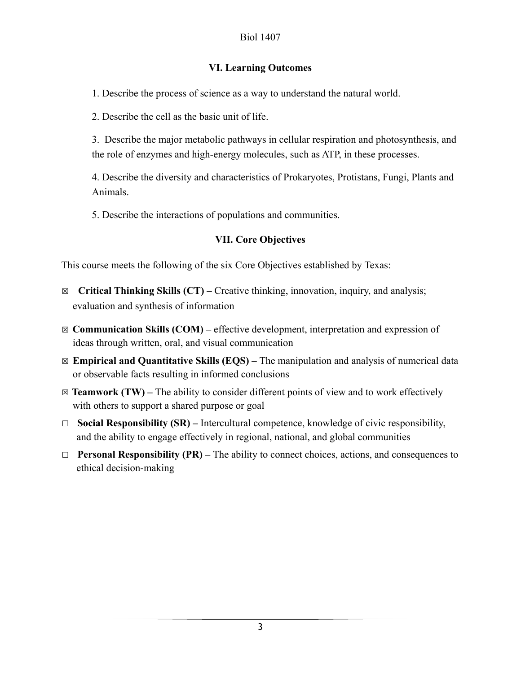## **VI. Learning Outcomes**

1. Describe the process of science as a way to understand the natural world.

2. Describe the cell as the basic unit of life.

3. Describe the major metabolic pathways in cellular respiration and photosynthesis, and the role of enzymes and high-energy molecules, such as ATP, in these processes.

4. Describe the diversity and characteristics of Prokaryotes, Protistans, Fungi, Plants and Animals.

5. Describe the interactions of populations and communities.

## **VII. Core Objectives**

This course meets the following of the six Core Objectives established by Texas:

- ☒ **Critical Thinking Skills (CT)** Creative thinking, innovation, inquiry, and analysis; evaluation and synthesis of information
- ☒ **Communication Skills (COM)** effective development, interpretation and expression of ideas through written, oral, and visual communication
- ☒ **Empirical and Quantitative Skills (EQS)** The manipulation and analysis of numerical data or observable facts resulting in informed conclusions
- $\boxtimes$  **Teamwork (TW)** The ability to consider different points of view and to work effectively with others to support a shared purpose or goal
- ☐ **Social Responsibility (SR)** Intercultural competence, knowledge of civic responsibility, and the ability to engage effectively in regional, national, and global communities
- ☐ **Personal Responsibility (PR)** The ability to connect choices, actions, and consequences to ethical decision-making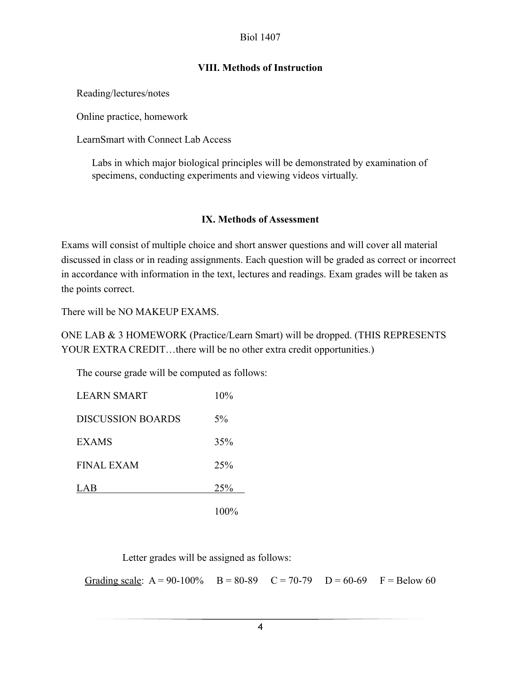#### Biol 1407

## **VIII. Methods of Instruction**

Reading/lectures/notes

Online practice, homework

LearnSmart with Connect Lab Access

Labs in which major biological principles will be demonstrated by examination of specimens, conducting experiments and viewing videos virtually.

## **IX. Methods of Assessment**

Exams will consist of multiple choice and short answer questions and will cover all material discussed in class or in reading assignments. Each question will be graded as correct or incorrect in accordance with information in the text, lectures and readings. Exam grades will be taken as the points correct.

There will be NO MAKEUP EXAMS.

ONE LAB & 3 HOMEWORK (Practice/Learn Smart) will be dropped. (THIS REPRESENTS YOUR EXTRA CREDIT...there will be no other extra credit opportunities.)

The course grade will be computed as follows:

| <b>LEARN SMART</b>       | 10%   |
|--------------------------|-------|
| <b>DISCUSSION BOARDS</b> | $5\%$ |
| <b>EXAMS</b>             | 35%   |
| FINAL EXAM               | 25%   |
| LAB                      | 25%   |
|                          | TUUY  |

Letter grades will be assigned as follows:

Grading scale:  $A = 90-100\%$   $B = 80-89$   $C = 70-79$   $D = 60-69$   $F = Below 60$ 

4